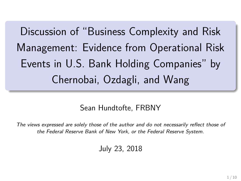Discussion of "Business Complexity and Risk Management: Evidence from Operational Risk Events in U.S. Bank Holding Companies" by Chernobai, Ozdagli, and Wang

#### Sean Hundtofte, FRBNY

The views expressed are solely those of the author and do not necessarily reflect those of the Federal Reserve Bank of New York, or the Federal Reserve System.

#### July 23, 2018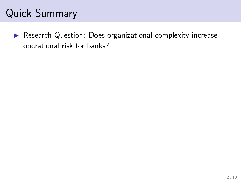**In Research Question: Does organizational complexity increase** operational risk for banks?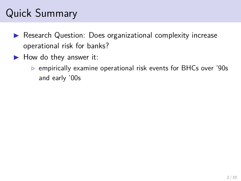- **In Research Question: Does organizational complexity increase** operational risk for banks?
- $\blacktriangleright$  How do they answer it:
	- *.* empirically examine operational risk events for BHCs over '90s and early '00s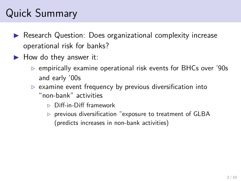- **In** Research Question: Does organizational complexity increase operational risk for banks?
- $\blacktriangleright$  How do they answer it:
	- *.* empirically examine operational risk events for BHCs over '90s and early '00s
	- *.* examine event frequency by previous diversification into "non-bank" activities
		- *.* Diff-in-Diff framework
		- *.* previous diversification ˜exposure to treatment of GLBA (predicts increases in non-bank activities)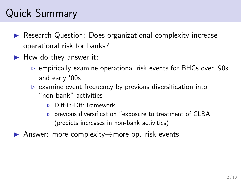- **In** Research Question: Does organizational complexity increase operational risk for banks?
- $\blacktriangleright$  How do they answer it:
	- *.* empirically examine operational risk events for BHCs over '90s and early '00s
	- *.* examine event frequency by previous diversification into "non-bank" activities
		- *.* Diff-in-Diff framework
		- *.* previous diversification ˜exposure to treatment of GLBA (predicts increases in non-bank activities)
- Answer: more complexity $\rightarrow$ more op. risk events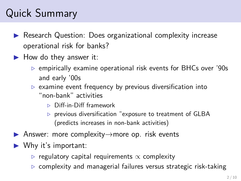- **In** Research Question: Does organizational complexity increase operational risk for banks?
- $\blacktriangleright$  How do they answer it:
	- *.* empirically examine operational risk events for BHCs over '90s and early '00s
	- *.* examine event frequency by previous diversification into "non-bank" activities
		- *.* Diff-in-Diff framework
		- *.* previous diversification ˜exposure to treatment of GLBA (predicts increases in non-bank activities)
- Answer: more complexity $\rightarrow$ more op. risk events
- $\blacktriangleright$  Why it's important:
	- *.* regulatory capital requirements ∝ complexity
	- *.* complexity and managerial failures versus strategic risk-taking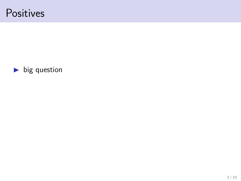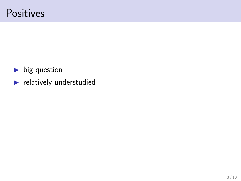- $\blacktriangleright$  big question
- $\blacktriangleright$  relatively understudied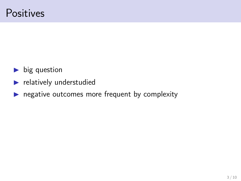- $\blacktriangleright$  big question
- $\blacktriangleright$  relatively understudied
- $\blacktriangleright$  negative outcomes more frequent by complexity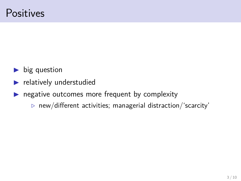- $\blacktriangleright$  big question
- $\blacktriangleright$  relatively understudied
- $\blacktriangleright$  negative outcomes more frequent by complexity
	- *.* new/different activities; managerial distraction/'scarcity'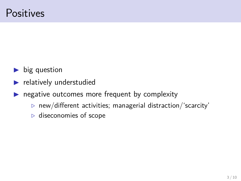- $\blacktriangleright$  big question
- $\blacktriangleright$  relatively understudied
- $\blacktriangleright$  negative outcomes more frequent by complexity
	- *.* new/different activities; managerial distraction/'scarcity'
	- *.* diseconomies of scope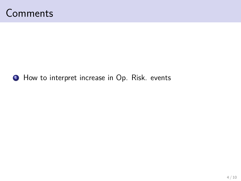

#### **1** How to interpret increase in Op. Risk. events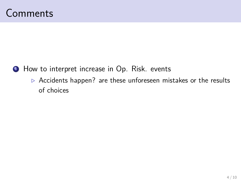- **1** How to interpret increase in Op. Risk. events
	- *.* Accidents happen? are these unforeseen mistakes or the results of choices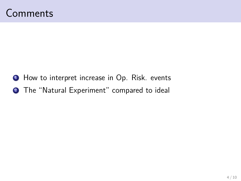- **1** How to interpret increase in Op. Risk. events
- <sup>2</sup> The "Natural Experiment" compared to ideal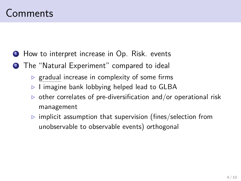- **1** How to interpret increase in Op. Risk. events
- <sup>2</sup> The "Natural Experiment" compared to ideal
	- $\triangleright$  gradual increase in complexity of some firms
	- *.* I imagine bank lobbying helped lead to GLBA
	- $\triangleright$  other correlates of pre-diversification and/or operational risk management
	- *.* implicit assumption that supervision (fines/selection from unobservable to observable events) orthogonal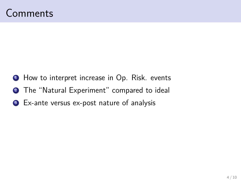- **1** How to interpret increase in Op. Risk. events
- <sup>2</sup> The "Natural Experiment" compared to ideal
- <sup>3</sup> Ex-ante versus ex-post nature of analysis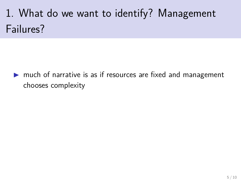# 1. What do we want to identify? Management Failures?

 $\triangleright$  much of narrative is as if resources are fixed and management chooses complexity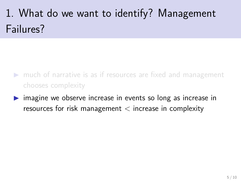# 1. What do we want to identify? Management Failures?

- $\triangleright$  much of narrative is as if resources are fixed and management chooses complexity
- $\triangleright$  imagine we observe increase in events so long as increase in resources for risk management *<* increase in complexity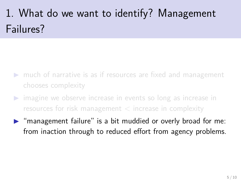# 1. What do we want to identify? Management Failures?

- $\triangleright$  much of narrative is as if resources are fixed and management chooses complexity
- $\triangleright$  imagine we observe increase in events so long as increase in resources for risk management *<* increase in complexity
- $\triangleright$  "management failure" is a bit muddied or overly broad for me: from inaction through to reduced effort from agency problems.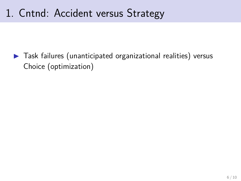$\blacktriangleright$  Task failures (unanticipated organizational realities) versus Choice (optimization)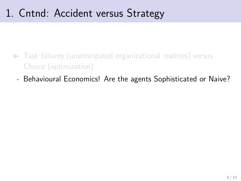- $\blacktriangleright$  Task failures (unanticipated organizational realities) versus Choice (optimization)
	- Behavioural Economics! Are the agents Sophisticated or Naive?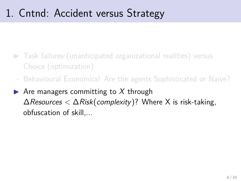- $\triangleright$  Task failures (unanticipated organizational realities) versus Choice (optimization)
	- Behavioural Economics! Are the agents Sophisticated or Naive?
- $\blacktriangleright$  Are managers committing to X through ∆Resources *<* ∆Risk(complexity )? Where X is risk-taking, obfuscation of skill,...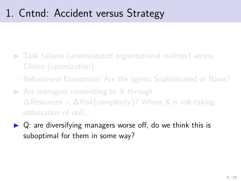- $\triangleright$  Task failures (unanticipated organizational realities) versus Choice (optimization)
	- Behavioural Economics! Are the agents Sophisticated or Naive?
- $\triangleright$  Are managers committing to X through ∆Resources *<* ∆Risk(complexity )? Where X is risk-taking, obfuscation of skill,...
- $\triangleright$  Q: are diversifying managers worse off, do we think this is suboptimal for them in some way?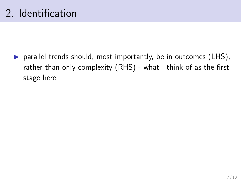$\triangleright$  parallel trends should, most importantly, be in outcomes (LHS), rather than only complexity (RHS) - what I think of as the first stage here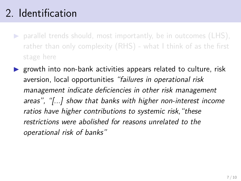# 2. Identification

- $\triangleright$  parallel trends should, most importantly, be in outcomes (LHS), rather than only complexity (RHS) - what I think of as the first stage here
- $\triangleright$  growth into non-bank activities appears related to culture, risk aversion, local opportunities "failures in operational risk management indicate deficiencies in other risk management areas", "[...] show that banks with higher non-interest income ratios have higher contributions to systemic risk, "these restrictions were abolished for reasons unrelated to the operational risk of banks"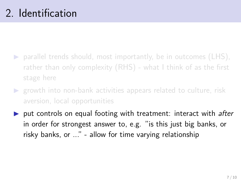- $\triangleright$  parallel trends should, most importantly, be in outcomes (LHS), rather than only complexity (RHS) - what I think of as the first stage here
- $\triangleright$  growth into non-bank activities appears related to culture, risk aversion, local opportunities
- $\triangleright$  put controls on equal footing with treatment: interact with after in order for strongest answer to, e.g. "is this just big banks, or risky banks, or ..." - allow for time varying relationship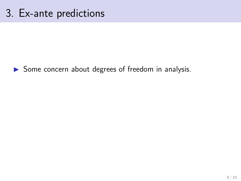

 $\triangleright$  Some concern about degrees of freedom in analysis.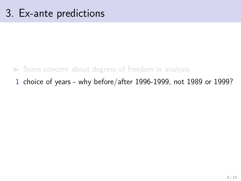- $\triangleright$  Some concern about degrees of freedom in analysis.
- 1 choice of years why before/after 1996-1999, not 1989 or 1999?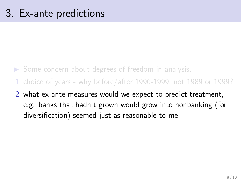- $\triangleright$  Some concern about degrees of freedom in analysis.
- 1 choice of years why before/after 1996-1999, not 1989 or 1999?
- 2 what ex-ante measures would we expect to predict treatment, e.g. banks that hadn't grown would grow into nonbanking (for diversification) seemed just as reasonable to me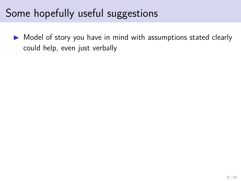$\triangleright$  Model of story you have in mind with assumptions stated clearly could help, even just verbally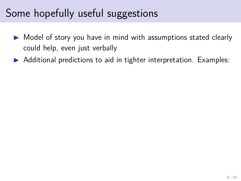- $\triangleright$  Model of story you have in mind with assumptions stated clearly could help, even just verbally
- $\triangleright$  Additional predictions to aid in tighter interpretation. Examples: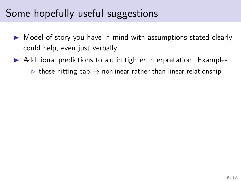- $\triangleright$  Model of story you have in mind with assumptions stated clearly could help, even just verbally
- $\triangleright$  Additional predictions to aid in tighter interpretation. Examples:
	- $\triangleright$  those hitting cap  $\rightarrow$  nonlinear rather than linear relationship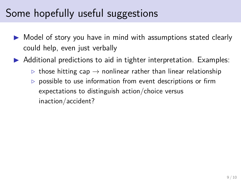- $\triangleright$  Model of story you have in mind with assumptions stated clearly could help, even just verbally
- $\triangleright$  Additional predictions to aid in tighter interpretation. Examples:
	- $\triangleright$  those hitting cap  $\rightarrow$  nonlinear rather than linear relationship
	- *.* possible to use information from event descriptions or firm expectations to distinguish action/choice versus inaction/accident?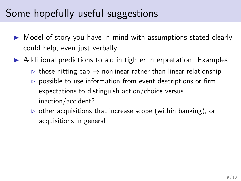- $\triangleright$  Model of story you have in mind with assumptions stated clearly could help, even just verbally
- $\triangleright$  Additional predictions to aid in tighter interpretation. Examples:
	- $\triangleright$  those hitting cap  $\rightarrow$  nonlinear rather than linear relationship
	- *.* possible to use information from event descriptions or firm expectations to distinguish action/choice versus inaction/accident?
	- *.* other acquisitions that increase scope (within banking), or acquisitions in general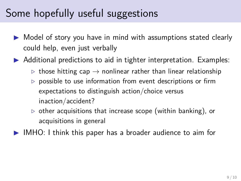- $\triangleright$  Model of story you have in mind with assumptions stated clearly could help, even just verbally
- $\triangleright$  Additional predictions to aid in tighter interpretation. Examples:
	- $\triangleright$  those hitting cap  $\rightarrow$  nonlinear rather than linear relationship
	- *.* possible to use information from event descriptions or firm expectations to distinguish action/choice versus inaction/accident?
	- *.* other acquisitions that increase scope (within banking), or acquisitions in general
- IMHO: I think this paper has a broader audience to aim for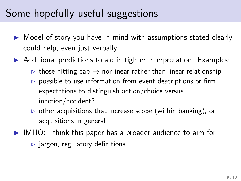- $\triangleright$  Model of story you have in mind with assumptions stated clearly could help, even just verbally
- $\triangleright$  Additional predictions to aid in tighter interpretation. Examples:
	- $\triangleright$  those hitting cap  $\rightarrow$  nonlinear rather than linear relationship
	- *.* possible to use information from event descriptions or firm expectations to distinguish action/choice versus inaction/accident?
	- *.* other acquisitions that increase scope (within banking), or acquisitions in general
- $\blacktriangleright$  IMHO: I think this paper has a broader audience to aim for
	- *.* jargon, regulatory definitions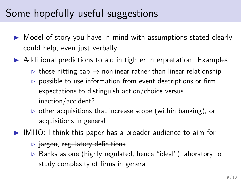- $\triangleright$  Model of story you have in mind with assumptions stated clearly could help, even just verbally
- $\triangleright$  Additional predictions to aid in tighter interpretation. Examples:
	- $\triangleright$  those hitting cap  $\rightarrow$  nonlinear rather than linear relationship
	- *.* possible to use information from event descriptions or firm expectations to distinguish action/choice versus inaction/accident?
	- *.* other acquisitions that increase scope (within banking), or acquisitions in general

 $\blacktriangleright$  IMHO: I think this paper has a broader audience to aim for

- *.* jargon, regulatory definitions
- *.* Banks as one (highly regulated, hence "ideal") laboratory to study complexity of firms in general